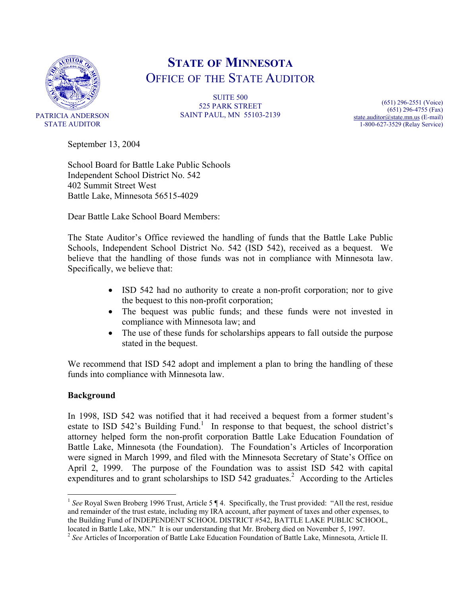

# **STATE OF MINNESOTA** OFFICE OF THE STATE AUDITOR

SUITE 500 525 PARK STREET SAINT PAUL, MN 55103-2139

(651) 296-2551 (Voice) (651) 296-4755 (Fax) state.auditor@state.mn.us (E-mail) 1-800-627-3529 (Relay Service)

September 13, 2004

School Board for Battle Lake Public Schools Independent School District No. 542 402 Summit Street West Battle Lake, Minnesota 56515-4029

Dear Battle Lake School Board Members:

The State Auditor's Office reviewed the handling of funds that the Battle Lake Public Schools, Independent School District No. 542 (ISD 542), received as a bequest. We believe that the handling of those funds was not in compliance with Minnesota law. Specifically, we believe that:

- ISD 542 had no authority to create a non-profit corporation; nor to give the bequest to this non-profit corporation;
- The bequest was public funds; and these funds were not invested in compliance with Minnesota law; and
- The use of these funds for scholarships appears to fall outside the purpose stated in the bequest.

We recommend that ISD 542 adopt and implement a plan to bring the handling of these funds into compliance with Minnesota law.

## **Background**

 $\overline{a}$ 

In 1998, ISD 542 was notified that it had received a bequest from a former student's estate to ISD 542's Building Fund.<sup>1</sup> In response to that bequest, the school district's attorney helped form the non-profit corporation Battle Lake Education Foundation of Battle Lake, Minnesota (the Foundation). The Foundation's Articles of Incorporation were signed in March 1999, and filed with the Minnesota Secretary of State's Office on April 2, 1999. The purpose of the Foundation was to assist ISD 542 with capital expenditures and to grant scholarships to ISD 542 graduates.<sup>2</sup> According to the Articles

<sup>&</sup>lt;sup>1</sup> See Royal Swen Broberg 1996 Trust, Article 5 ¶ 4. Specifically, the Trust provided: "All the rest, residue and remainder of the trust estate, including my IRA account, after payment of taxes and other expenses, to the Building Fund of INDEPENDENT SCHOOL DISTRICT #542, BATTLE LAKE PUBLIC SCHOOL,

located in Battle Lake, MN." It is our understanding that Mr. Broberg died on November 5, 1997.<br><sup>2</sup> *See* Articles of Incorporation of Battle Lake Education Foundation of Battle Lake, Minnesota, Article II.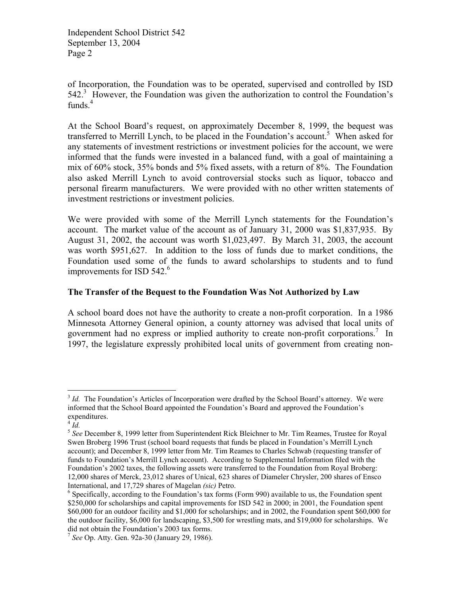of Incorporation, the Foundation was to be operated, supervised and controlled by ISD  $542<sup>3</sup>$  However, the Foundation was given the authorization to control the Foundation's funds.<sup>4</sup>

At the School Board's request, on approximately December 8, 1999, the bequest was transferred to Merrill Lynch, to be placed in the Foundation's account.<sup>5</sup> When asked for any statements of investment restrictions or investment policies for the account, we were informed that the funds were invested in a balanced fund, with a goal of maintaining a mix of 60% stock, 35% bonds and 5% fixed assets, with a return of 8%. The Foundation also asked Merrill Lynch to avoid controversial stocks such as liquor, tobacco and personal firearm manufacturers. We were provided with no other written statements of investment restrictions or investment policies.

We were provided with some of the Merrill Lynch statements for the Foundation's account. The market value of the account as of January 31, 2000 was \$1,837,935. By August 31, 2002, the account was worth \$1,023,497. By March 31, 2003, the account was worth \$951,627. In addition to the loss of funds due to market conditions, the Foundation used some of the funds to award scholarships to students and to fund improvements for ISD  $542<sup>6</sup>$ 

## **The Transfer of the Bequest to the Foundation Was Not Authorized by Law**

A school board does not have the authority to create a non-profit corporation. In a 1986 Minnesota Attorney General opinion, a county attorney was advised that local units of government had no express or implied authority to create non-profit corporations.<sup>7</sup> In 1997, the legislature expressly prohibited local units of government from creating non-

1

<sup>&</sup>lt;sup>3</sup> *Id.* The Foundation's Articles of Incorporation were drafted by the School Board's attorney. We were informed that the School Board appointed the Foundation's Board and approved the Foundation's expenditures.

 $4$   $Id.$ 

<sup>5</sup> *See* December 8, 1999 letter from Superintendent Rick Bleichner to Mr. Tim Reames, Trustee for Royal Swen Broberg 1996 Trust (school board requests that funds be placed in Foundation's Merrill Lynch account); and December 8, 1999 letter from Mr. Tim Reames to Charles Schwab (requesting transfer of funds to Foundation's Merrill Lynch account). According to Supplemental Information filed with the Foundation's 2002 taxes, the following assets were transferred to the Foundation from Royal Broberg: 12,000 shares of Merck, 23,012 shares of Unical, 623 shares of Diameler Chrysler, 200 shares of Ensco International, and 17,729 shares of Magelan *(sic)* Petro. 6

<sup>&</sup>lt;sup>6</sup> Specifically, according to the Foundation's tax forms (Form 990) available to us, the Foundation spent \$250,000 for scholarships and capital improvements for ISD 542 in 2000; in 2001, the Foundation spent \$60,000 for an outdoor facility and \$1,000 for scholarships; and in 2002, the Foundation spent \$60,000 for the outdoor facility, \$6,000 for landscaping, \$3,500 for wrestling mats, and \$19,000 for scholarships. We did not obtain the Foundation's 2003 tax forms.

<sup>7</sup> *See* Op. Atty. Gen. 92a-30 (January 29, 1986).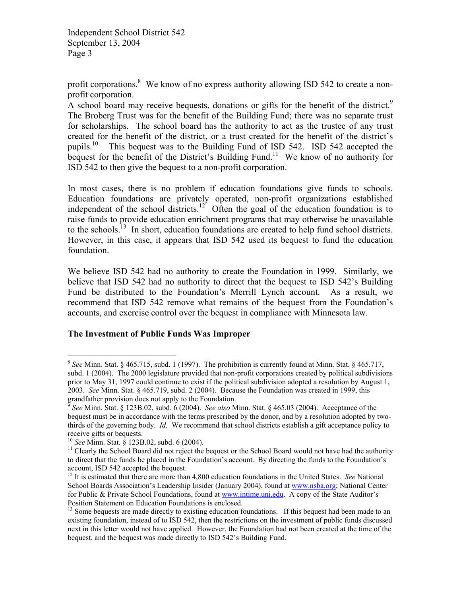profit corporations.<sup>8</sup> We know of no express authority allowing ISD 542 to create a nonprofit corporation.

A school board may receive bequests, donations or gifts for the benefit of the district.<sup>9</sup> The Broberg Trust was for the benefit of the Building Fund; there was no separate trust for scholarships. The school board has the authority to act as the trustee of any trust created for the benefit of the district, or a trust created for the benefit of the district's pupils.<sup>10</sup> This bequest was to the Building Fund of ISD 542. ISD 542 accepted the bequest for the benefit of the District's Building Fund.<sup>11</sup> We know of no authority for ISD 542 to then give the bequest to a non-profit corporation.

In most cases, there is no problem if education foundations give funds to schools. Education foundations are privately operated, non-profit organizations established independent of the school districts.<sup>12</sup> Often the goal of the education foundation is to raise funds to provide education enrichment programs that may otherwise be unavailable to the schools.<sup>13</sup> In short, education foundations are created to help fund school districts. However, in this case, it appears that ISD 542 used its bequest to fund the education foundation.

We believe ISD 542 had no authority to create the Foundation in 1999. Similarly, we believe that ISD 542 had no authority to direct that the bequest to ISD 542's Building Fund be distributed to the Foundation's Merrill Lynch account. As a result, we recommend that ISD 542 remove what remains of the bequest from the Foundation's accounts, and exercise control over the bequest in compliance with Minnesota law.

#### **The Investment of Public Funds Was Improper**

 $\overline{a}$ 

<sup>8</sup> *See* Minn. Stat. § 465.715, subd. 1 (1997). The prohibition is currently found at Minn. Stat. § 465.717, subd. 1 (2004). The 2000 legislature provided that non-profit corporations created by political subdivisions prior to May 31, 1997 could continue to exist if the political subdivision adopted a resolution by August 1, 2003. *See* Minn. Stat. § 465.719, subd. 2 (2004). Because the Foundation was created in 1999, this grandfather provision does not apply to the Foundation.

<sup>9</sup> *See* Minn. Stat. § 123B.02, subd. 6 (2004). *See also* Minn. Stat. § 465.03 (2004). Acceptance of the bequest must be in accordance with the terms prescribed by the donor, and by a resolution adopted by twothirds of the governing body. *Id.* We recommend that school districts establish a gift acceptance policy to receive gifts or bequests.<br> $^{10}$  *See* Minn. Stat. § 123B.02, subd. 6 (2004).

<sup>&</sup>lt;sup>11</sup> Clearly the School Board did not reject the bequest or the School Board would not have had the authority to direct that the funds be placed in the Foundation's account. By directing the funds to the Foundation's account, ISD 542 accepted the bequest.

<sup>12</sup> It is estimated that there are more than 4,800 education foundations in the United States. *See* National School Boards Association's Leadership Insider (January 2004), found at www.nsba.org; National Center for Public & Private School Foundations, found at www.intime.uni.edu. A copy of the State Auditor's Position Statement on Education Foundations is enclosed.

<sup>&</sup>lt;sup>13</sup> Some bequests are made directly to existing education foundations. If this bequest had been made to an existing foundation, instead of to ISD 542, then the restrictions on the investment of public funds discussed next in this letter would not have applied. However, the Foundation had not been created at the time of the bequest, and the bequest was made directly to ISD 542's Building Fund.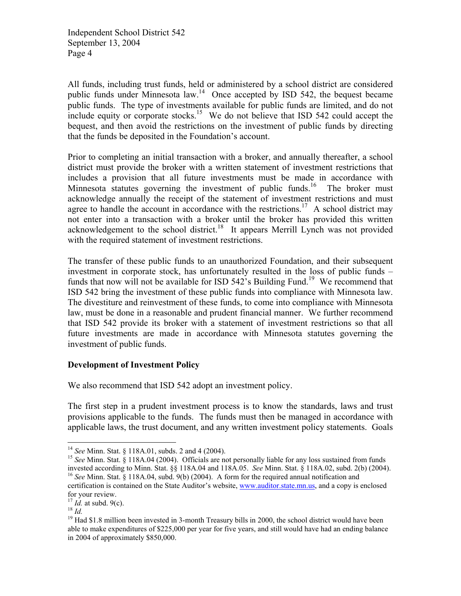All funds, including trust funds, held or administered by a school district are considered public funds under Minnesota law.14 Once accepted by ISD 542, the bequest became public funds. The type of investments available for public funds are limited, and do not include equity or corporate stocks.<sup>15</sup> We do not believe that ISD 542 could accept the bequest, and then avoid the restrictions on the investment of public funds by directing that the funds be deposited in the Foundation's account.

Prior to completing an initial transaction with a broker, and annually thereafter, a school district must provide the broker with a written statement of investment restrictions that includes a provision that all future investments must be made in accordance with Minnesota statutes governing the investment of public funds.<sup>16</sup> The broker must acknowledge annually the receipt of the statement of investment restrictions and must agree to handle the account in accordance with the restrictions.<sup>17</sup> A school district may not enter into a transaction with a broker until the broker has provided this written acknowledgement to the school district.<sup>18</sup> It appears Merrill Lynch was not provided with the required statement of investment restrictions.

The transfer of these public funds to an unauthorized Foundation, and their subsequent investment in corporate stock, has unfortunately resulted in the loss of public funds – funds that now will not be available for ISD  $542$ 's Building Fund.<sup>19</sup> We recommend that ISD 542 bring the investment of these public funds into compliance with Minnesota law. The divestiture and reinvestment of these funds, to come into compliance with Minnesota law, must be done in a reasonable and prudent financial manner. We further recommend that ISD 542 provide its broker with a statement of investment restrictions so that all future investments are made in accordance with Minnesota statutes governing the investment of public funds.

#### **Development of Investment Policy**

We also recommend that ISD 542 adopt an investment policy.

The first step in a prudent investment process is to know the standards, laws and trust provisions applicable to the funds. The funds must then be managed in accordance with applicable laws, the trust document, and any written investment policy statements. Goals

 $\overline{a}$ 

<sup>&</sup>lt;sup>14</sup> *See* Minn. Stat. § 118A.01, subds. 2 and 4 (2004).<br><sup>15</sup> *See* Minn. Stat. § 118A.04 (2004). Officials are not personally liable for any loss sustained from funds invested according to Minn. Stat. §§ 118A.04 and 118A.05. *See* Minn. Stat. § 118A.02, subd. 2(b) (2004). 16 *See* Minn. Stat. § 118A.04, subd. 9(b) (2004). A form for the required annual notification and

certification is contained on the State Auditor's website, www.auditor.state.mn.us, and a copy is enclosed for your review.<br> $^{17}$  *Id.* at subd. 9(c).

<sup>18</sup> *Id.* at subd. 9(c).<br><sup>18</sup> *Id.*<br><sup>19</sup> Had \$1.8 million been invested in 3-month Treasury bills in 2000, the school district would have been able to make expenditures of \$225,000 per year for five years, and still would have had an ending balance in 2004 of approximately \$850,000.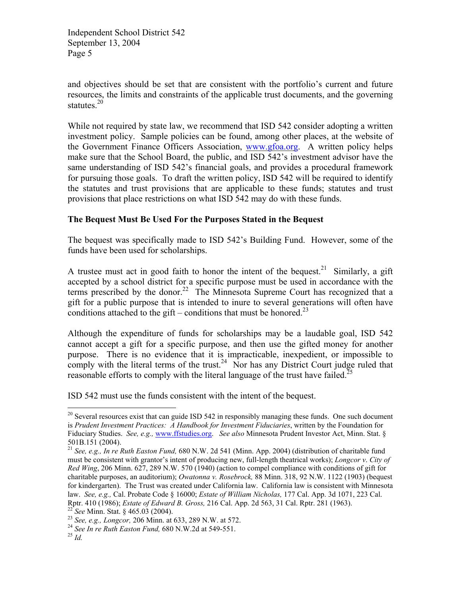and objectives should be set that are consistent with the portfolio's current and future resources, the limits and constraints of the applicable trust documents, and the governing statutes. $20$ 

While not required by state law, we recommend that ISD 542 consider adopting a written investment policy. Sample policies can be found, among other places, at the website of the Government Finance Officers Association, www.gfoa.org. A written policy helps make sure that the School Board, the public, and ISD 542's investment advisor have the same understanding of ISD 542's financial goals, and provides a procedural framework for pursuing those goals. To draft the written policy, ISD 542 will be required to identify the statutes and trust provisions that are applicable to these funds; statutes and trust provisions that place restrictions on what ISD 542 may do with these funds.

## **The Bequest Must Be Used For the Purposes Stated in the Bequest**

The bequest was specifically made to ISD 542's Building Fund. However, some of the funds have been used for scholarships.

A trustee must act in good faith to honor the intent of the bequest.<sup>21</sup> Similarly, a gift accepted by a school district for a specific purpose must be used in accordance with the terms prescribed by the donor.<sup>22</sup> The Minnesota Supreme Court has recognized that a gift for a public purpose that is intended to inure to several generations will often have conditions attached to the gift – conditions that must be honored.<sup>23</sup>

Although the expenditure of funds for scholarships may be a laudable goal, ISD 542 cannot accept a gift for a specific purpose, and then use the gifted money for another purpose. There is no evidence that it is impracticable, inexpedient, or impossible to comply with the literal terms of the trust.<sup>24</sup> Nor has any District Court judge ruled that reasonable efforts to comply with the literal language of the trust have failed.<sup>25</sup>

ISD 542 must use the funds consistent with the intent of the bequest.

 $\overline{a}$ 

<sup>&</sup>lt;sup>20</sup> Several resources exist that can guide ISD 542 in responsibly managing these funds. One such document is *Prudent Investment Practices: A Handbook for Investment Fiduciaries*, written by the Foundation for Fiduciary Studies. *See, e.g.,* www.ffstudies.org. *See also* Minnesota Prudent Investor Act, Minn. Stat. § 501B.151 (2004).

<sup>21</sup> *See, e.g., In re Ruth Easton Fund,* 680 N.W. 2d 541 (Minn. App. 2004) (distribution of charitable fund must be consistent with grantor's intent of producing new, full-length theatrical works); *Longcor v*. *City of Red Wing*, 206 Minn. 627, 289 N.W. 570 (1940) (action to compel compliance with conditions of gift for charitable purposes, an auditorium); *Owatonna v. Rosebrock,* 88 Minn. 318, 92 N.W. 1122 (1903) (bequest for kindergarten). The Trust was created under California law. California law is consistent with Minnesota law. *See, e.g.,* Cal. Probate Code § 16000; *Estate of William Nicholas,* 177 Cal. App. 3d 1071, 223 Cal. Rptr. 410 (1986); *Estate of Edward B. Gross*, 216 Cal. App. 2d 563, 31 Cal. Rptr. 281 (1963).<br><sup>22</sup> See Minn. Stat. § 465.03 (2004).<br><sup>23</sup> See, e.g., *Longcor*, 206 Minn. at 633, 289 N.W. at 572.<br><sup>24</sup> See In re Ruth Easton